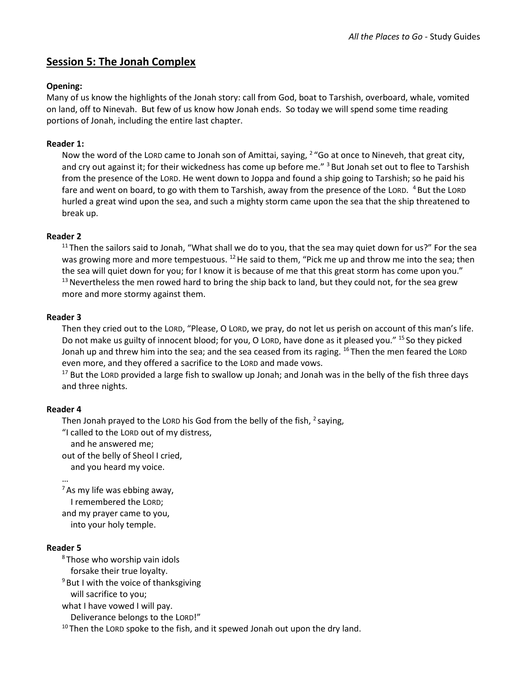# **Session 5: The Jonah Complex**

### **Opening:**

Many of us know the highlights of the Jonah story: call from God, boat to Tarshish, overboard, whale, vomited on land, off to Ninevah. But few of us know how Jonah ends. So today we will spend some time reading portions of Jonah, including the entire last chapter.

### **Reader 1:**

Now the word of the Lord came to Jonah son of Amittai, saying, <sup>2</sup> "Go at once to Nineveh, that great city, and cry out against it; for their wickedness has come up before me." <sup>3</sup> But Jonah set out to flee to Tarshish from the presence of the LORD. He went down to Joppa and found a ship going to Tarshish; so he paid his fare and went on board, to go with them to Tarshish, away from the presence of the Lor. <sup>4</sup> But the Lor. <sup>1</sup> hurled a great wind upon the sea, and such a mighty storm came upon the sea that the ship threatened to break up.

### **Reader 2**

 $11$ Then the sailors said to Jonah, "What shall we do to you, that the sea may quiet down for us?" For the sea was growing more and more tempestuous. <sup>12</sup> He said to them, "Pick me up and throw me into the sea; then the sea will quiet down for you; for I know it is because of me that this great storm has come upon you."  $13$  Nevertheless the men rowed hard to bring the ship back to land, but they could not, for the sea grew more and more stormy against them.

### **Reader 3**

Then they cried out to the LORD, "Please, O LORD, we pray, do not let us perish on account of this man's life. Do not make us guilty of innocent blood; for you, O LORD, have done as it pleased you." <sup>15</sup> So they picked Jonah up and threw him into the sea; and the sea ceased from its raging. <sup>16</sup> Then the men feared the LORD even more, and they offered a sacrifice to the LORD and made vows.

 $17$  But the LORD provided a large fish to swallow up Jonah; and Jonah was in the belly of the fish three days and three nights.

### **Reader 4**

Then Jonah prayed to the LORD his God from the belly of the fish,  $^2$  saying,

"I called to the LORD out of my distress,

and he answered me;

out of the belly of Sheol I cried,

and you heard my voice.

…  $<sup>7</sup>$ As my life was ebbing away,</sup> I remembered the LORD;

and my prayer came to you,

into your holy temple.

### **Reader 5**

<sup>8</sup> Those who worship vain idols forsake their true loyalty.

 $9$  But I with the voice of thanksgiving

will sacrifice to you;

what I have vowed I will pay. Deliverance belongs to the LORD!"

 $10$  Then the LORD spoke to the fish, and it spewed Jonah out upon the dry land.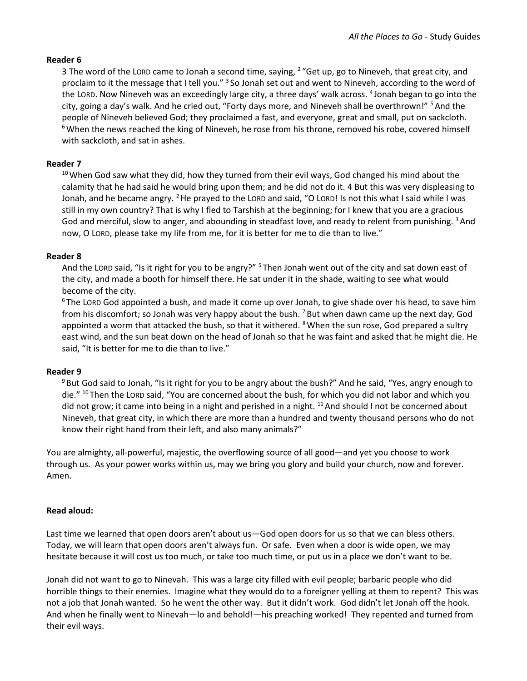#### **Reader 6**

3 The word of the LORD came to Jonah a second time, saying, <sup>2</sup> "Get up, go to Nineveh, that great city, and proclaim to it the message that I tell you." <sup>3</sup> So Jonah set out and went to Nineveh, according to the word of the LORD. Now Nineveh was an exceedingly large city, a three days' walk across. <sup>4</sup> Jonah began to go into the city, going a day's walk. And he cried out, "Forty days more, and Nineveh shall be overthrown!" <sup>5</sup>And the people of Nineveh believed God; they proclaimed a fast, and everyone, great and small, put on sackcloth. <sup>6</sup> When the news reached the king of Nineveh, he rose from his throne, removed his robe, covered himself with sackcloth, and sat in ashes.

### **Reader 7**

 $10$  When God saw what they did, how they turned from their evil ways, God changed his mind about the calamity that he had said he would bring upon them; and he did not do it. 4 But this was very displeasing to Jonah, and he became angry. <sup>2</sup> He prayed to the LORD and said, "O LORD! Is not this what I said while I was still in my own country? That is why I fled to Tarshish at the beginning; for I knew that you are a gracious God and merciful, slow to anger, and abounding in steadfast love, and ready to relent from punishing. <sup>3</sup> And now, O LORD, please take my life from me, for it is better for me to die than to live."

### **Reader 8**

And the LORD said, "Is it right for you to be angry?" <sup>5</sup> Then Jonah went out of the city and sat down east of the city, and made a booth for himself there. He sat under it in the shade, waiting to see what would become of the city.

<sup>6</sup> The LORD God appointed a bush, and made it come up over Jonah, to give shade over his head, to save him from his discomfort; so Jonah was very happy about the bush.  $7B$ ut when dawn came up the next day, God appointed a worm that attacked the bush, so that it withered. <sup>8</sup> When the sun rose, God prepared a sultry east wind, and the sun beat down on the head of Jonah so that he was faint and asked that he might die. He said, "It is better for me to die than to live."

#### **Reader 9**

<sup>9</sup> But God said to Jonah, "Is it right for you to be angry about the bush?" And he said, "Yes, angry enough to die." <sup>10</sup> Then the LORD said, "You are concerned about the bush, for which you did not labor and which you did not grow; it came into being in a night and perished in a night. <sup>11</sup> And should I not be concerned about Nineveh, that great city, in which there are more than a hundred and twenty thousand persons who do not know their right hand from their left, and also many animals?"

You are almighty, all-powerful, majestic, the overflowing source of all good—and yet you choose to work through us. As your power works within us, may we bring you glory and build your church, now and forever. Amen.

### **Read aloud:**

Last time we learned that open doors aren't about us—God open doors for us so that we can bless others. Today, we will learn that open doors aren't always fun. Or safe. Even when a door is wide open, we may hesitate because it will cost us too much, or take too much time, or put us in a place we don't want to be.

Jonah did not want to go to Ninevah. This was a large city filled with evil people; barbaric people who did horrible things to their enemies. Imagine what they would do to a foreigner yelling at them to repent? This was not a job that Jonah wanted. So he went the other way. But it didn't work. God didn't let Jonah off the hook. And when he finally went to Ninevah—lo and behold!—his preaching worked! They repented and turned from their evil ways.